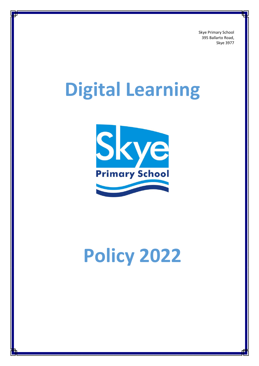Skye Primary School 395 Ballarto Road, Skye 3977

# **Digital Learning**



# **Policy 2022**

1 Volunteers Policy\_SKPS\_2022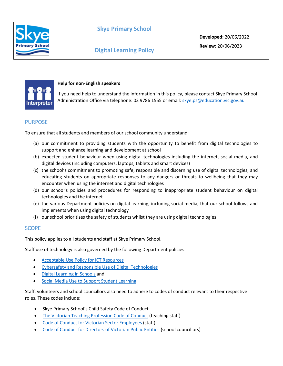



#### **Help for non-English speakers**

If you need help to understand the information in this policy, please contact Skye Primary School Administration Office via telephone: 03 9786 1555 or email: [skye.ps@education.vic.gov.au](mailto:skye.ps@education.vic.gov.au)

# PURPOSE

To ensure that all students and members of our school community understand:

- (a) our commitment to providing students with the opportunity to benefit from digital technologies to support and enhance learning and development at school
- (b) expected student behaviour when using digital technologies including the internet, social media, and digital devices (including computers, laptops, tablets and smart devices)
- (c) the school's commitment to promoting safe, responsible and discerning use of digital technologies, and educating students on appropriate responses to any dangers or threats to wellbeing that they may encounter when using the internet and digital technologies
- (d) our school's policies and procedures for responding to inappropriate student behaviour on digital technologies and the internet
- (e) the various Department policies on digital learning, including social media, that our school follows and implements when using digital technology
- (f) our school prioritises the safety of students whilst they are using digital technologies

# **SCOPE**

This policy applies to all students and staff at Skye Primary School.

Staff use of technology is also governed by the following Department policies:

- [Acceptable Use Policy](https://www2.education.vic.gov.au/pal/ict-acceptable-use/overview) for ICT Resources
- [Cybersafety and Responsible Use of Digital Technologies](https://www2.education.vic.gov.au/pal/cybersafety/policy)
- [Digital Learning in Schools](https://www2.education.vic.gov.au/pal/digital-learning/policy) and
- [Social Media Use to Support Student Learning.](https://www2.education.vic.gov.au/pal/social-media/policy)

Staff, volunteers and school councillors also need to adhere to codes of conduct relevant to their respective roles. These codes include:

- Skye Primary School's Child Safety Code of Conduct
- [The Victorian Teaching Profession Code of Conduct](https://www.vit.vic.edu.au/__data/assets/pdf_file/0018/35604/Code-of-Conduct-2016.pdf) (teaching staff)
- [Code of Conduct for Victorian Sector Employees](https://www2.education.vic.gov.au/pal/code-conduct/overview) (staff)
- [Code of Conduct for Directors of Victorian Public Entities](https://www2.education.vic.gov.au/pal/school-council-conduct/policy) (school councillors)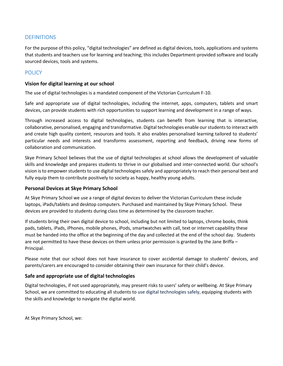# **DEFINITIONS**

For the purpose of this policy, "digital technologies" are defined as digital devices, tools, applications and systems that students and teachers use for learning and teaching; this includes Department-provided software and locally sourced devices, tools and systems.

# **POLICY**

### **Vision for digital learning at our school**

The use of digital technologies is a mandated component of the Victorian Curriculum F-10.

Safe and appropriate use of digital technologies, including the internet, apps, computers, tablets and smart devices, can provide students with rich opportunities to support learning and development in a range of ways.

Through increased access to digital technologies, students can benefit from learning that is interactive, collaborative, personalised, engaging and transformative. Digital technologies enable our students to interact with and create high quality content, resources and tools. It also enables personalised learning tailored to students' particular needs and interests and transforms assessment, reporting and feedback, driving new forms of collaboration and communication.

Skye Primary School believes that the use of digital technologies at school allows the development of valuable skills and knowledge and prepares students to thrive in our globalised and inter-connected world. Our school's vision is to empower students to use digital technologies safely and appropriately to reach their personal best and fully equip them to contribute positively to society as happy, healthy young adults.

#### **Personal Devices at Skye Primary School**

At Skye Primary School we use a range of digital devices to deliver the Victorian Curriculum these include laptops, iPads/tablets and desktop computers. Purchased and maintained by Skye Primary School. These devices are provided to students during class time as determined by the classroom teacher.

If students bring their own digital device to school, including but not limited to laptops, chrome books, think pads, tablets, iPads, iPhones, mobile phones, iPods, smartwatches with call, text or internet capability these must be handed into the office at the beginning of the day and collected at the end of the school day. Students are not permitted to have these devices on them unless prior permission is granted by the Jane Briffa – Principal.

Please note that our school does not have insurance to cover accidental damage to students' devices, and parents/carers are encouraged to consider obtaining their own insurance for their child's device.

### **Safe and appropriate use of digital technologies**

Digital technologies, if not used appropriately, may present risks to users' safety or wellbeing. At Skye Primary School, we are committed to educating all students to use digital technologies safely, equipping students with the skills and knowledge to navigate the digital world.

At Skye Primary School, we: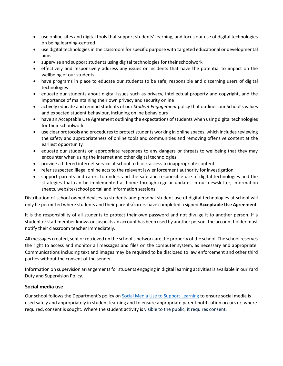- use online sites and digital tools that support students' learning, and focus our use of digital technologies on being learning-centred
- use digital technologies in the classroom for specific purpose with targeted educational or developmental aims
- supervise and support students using digital technologies for their schoolwork
- effectively and responsively address any issues or incidents that have the potential to impact on the wellbeing of our students
- have programs in place to educate our students to be safe, responsible and discerning users of digital technologies
- educate our students about digital issues such as privacy, intellectual property and copyright, and the importance of maintaining their own privacy and security online
- actively educate and remind students of our *Student Engagement* policy that outlines our School's values and expected student behaviour, including online behaviours
- have an Acceptable Use Agreement outlining the expectations of students when using digital technologies for their schoolwork
- use clear protocols and procedures to protect students working in online spaces, which includes reviewing the safety and appropriateness of online tools and communities and removing offensive content at the earliest opportunity
- educate our students on appropriate responses to any dangers or threats to wellbeing that they may encounter when using the internet and other digital technologies
- provide a filtered internet service at school to block access to inappropriate content
- refer suspected illegal online acts to the relevant law enforcement authority for investigation
- support parents and carers to understand the safe and responsible use of digital technologies and the strategies that can be implemented at home through regular updates in our newsletter, information sheets, website/school portal and information sessions.

Distribution of school owned devices to students and personal student use of digital technologies at school will only be permitted where students and their parents/carers have completed a signed **Acceptable Use Agreement**.

It is the responsibility of all students to protect their own password and not divulge it to another person. If a student or staff member knows or suspects an account has been used by another person, the account holder must notify their classroom teacher immediately.

All messages created, sent or retrieved on the school's network are the property of the school. The school reserves the right to access and monitor all messages and files on the computer system, as necessary and appropriate. Communications including text and images may be required to be disclosed to law enforcement and other third parties without the consent of the sender.

Information on supervision arrangements for students engaging in digital learning activities is available in our Yard Duty and Supervision Policy.

#### **Social media use**

Our school follows the Department's policy on [Social Media Use to Support Learning](https://www2.education.vic.gov.au/pal/social-media/policy) to ensure social media is used safely and appropriately in student learning and to ensure appropriate parent notification occurs or, where required, consent is sought. Where the student activity is visible to the public, it requires consent.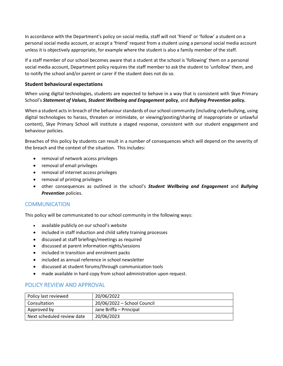In accordance with the Department's policy on social media, staff will not 'friend' or 'follow' a student on a personal social media account, or accept a 'friend' request from a student using a personal social media account unless it is objectively appropriate, for example where the student is also a family member of the staff.

If a staff member of our school becomes aware that a student at the school is 'following' them on a personal social media account, Department policy requires the staff member to ask the student to 'unfollow' them, and to notify the school and/or parent or carer if the student does not do so.

#### **Student behavioural expectations**

When using digital technologies, students are expected to behave in a way that is consistent with Skye Primary School's *Statement of Values, Student Wellbeing and Engagement* **policy**, and *Bullying Prevention* **policy.**

When a student acts in breach of the behaviour standards of our school community (including cyberbullying, using digital technologies to harass, threaten or intimidate, or viewing/posting/sharing of inappropriate or unlawful content), Skye Primary School will institute a staged response, consistent with our student engagement and behaviour policies*.*

Breaches of this policy by students can result in a number of consequences which will depend on the severity of the breach and the context of the situation. This includes:

- removal of network access privileges
- removal of email privileges
- removal of internet access privileges
- removal of printing privileges
- other consequences as outlined in the school's *Student Wellbeing and Engagement* and *Bullying Prevention* policies.

# **COMMUNICATION**

This policy will be communicated to our school community in the following ways:

- available publicly on our school's website
- included in staff induction and child safety training processes
- discussed at staff briefings/meetings as required
- discussed at parent information nights/sessions
- included in transition and enrolment packs
- included as annual reference in school newsletter
- discussed at student forums/through communication tools
- made available in hard copy from school administration upon request.

# POLICY REVIEW AND APPROVAL

| Policy last reviewed       | 20/06/2022                  |
|----------------------------|-----------------------------|
| Consultation               | 20/06/2022 - School Council |
| Approved by                | Jane Briffa - Principal     |
| Next scheduled review date | 20/06/2023                  |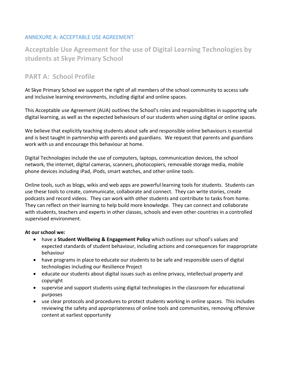# ANNEXURE A: ACCEPTABLE USE AGREEMENT

**Acceptable Use Agreement for the use of Digital Learning Technologies by students at Skye Primary School** 

# **PART A: School Profile**

At Skye Primary School we support the right of all members of the school community to access safe and inclusive learning environments, including digital and online spaces.

This Acceptable use Agreement (AUA) outlines the School's roles and responsibilities in supporting safe digital learning, as well as the expected behaviours of our students when using digital or online spaces.

We believe that explicitly teaching students about safe and responsible online behaviours is essential and is best taught in partnership with parents and guardians. We request that parents and guardians work with us and encourage this behaviour at home.

Digital Technologies include the use of computers, laptops, communication devices, the school network, the internet, digital cameras, scanners, photocopiers, removable storage media, mobile phone devices including iPad, iPods, smart watches, and other online tools.

Online tools, such as blogs, wikis and web apps are powerful learning tools for students. Students can use these tools to create, communicate, collaborate and connect. They can write stories, create podcasts and record videos. They can work with other students and contribute to tasks from home. They can reflect on their learning to help build more knowledge. They can connect and collaborate with students, teachers and experts in other classes, schools and even other countries in a controlled supervised environment.

# **At our school we:**

- have a **Student Wellbeing & Engagement Policy** which outlines our school's values and expected standards of student behaviour, including actions and consequences for inappropriate behaviour
- have programs in place to educate our students to be safe and responsible users of digital technologies including our Resilience Project
- educate our students about digital issues such as online privacy, intellectual property and copyright
- supervise and support students using digital technologies in the classroom for educational purposes
- use clear protocols and procedures to protect students working in online spaces. This includes reviewing the safety and appropriateness of online tools and communities, removing offensive content at earliest opportunity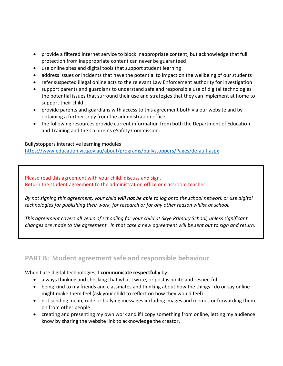- provide a filtered internet service to block inappropriate content, but acknowledge that full protection from inappropriate content can never be guaranteed
- use online sites and digital tools that support student learning
- address issues or incidents that have the potential to impact on the wellbeing of our students
- refer suspected illegal online acts to the relevant Law Enforcement authority for investigation
- support parents and guardians to understand safe and responsible use of digital technologies the potential issues that surround their use and strategies that they can implement at home to support their child
- provide parents and guardians with access to this agreement both via our website and by obtaining a further copy from the administration office
- the following resources provide current information from both the Department of Education and Training and the Children's eSafety Commission.

Bullystoppers interactive learning modules

<https://www.education.vic.gov.au/about/programs/bullystoppers/Pages/default.aspx>

Please read this agreement with your child, discuss and sign. Return the student agreement to the administration office or classroom teacher.

*By not signing this agreement, your child will not be able to log onto the school network or use digital technologies for publishing their work, for research or for any other reason whilst at school.*

*This agreement covers all years of schooling for your child at Skye Primary School, unless significant changes are made to the agreement. In that case a new agreement will be sent out to sign and return.*

# **PART B: Student agreement safe and responsible behaviour**

When I use digital technologies, I **communicate respectfully** by:

- always thinking and checking that what I write, or post is polite and respectful
- being kind to my friends and classmates and thinking about how the things I do or say online might make them feel (ask your child to reflect on how they would feel)
- not sending mean, rude or bullying messages including images and memes or forwarding them on from other people
- creating and presenting my own work and if I copy something from online, letting my audience know by sharing the website link to acknowledge the creator.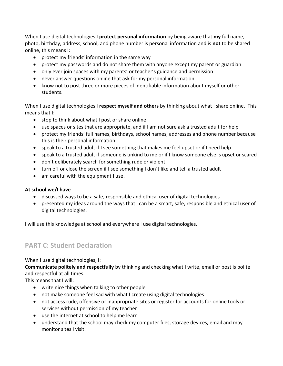When I use digital technologies I **protect personal information** by being aware that **my** full name, photo, birthday, address, school, and phone number is personal information and is **not** to be shared online, this means I:

- protect my friends' information in the same way
- protect my passwords and do not share them with anyone except my parent or guardian
- only ever join spaces with my parents' or teacher's guidance and permission
- never answer questions online that ask for my personal information
- know not to post three or more pieces of identifiable information about myself or other students.

When I use digital technologies I **respect myself and others** by thinking about what I share online. This means that I:

- stop to think about what I post or share online
- use spaces or sites that are appropriate, and if I am not sure ask a trusted adult for help
- protect my friends' full names, birthdays, school names, addresses and phone number because this is their personal information
- speak to a trusted adult if I see something that makes me feel upset or if I need help
- speak to a trusted adult if someone is unkind to me or if I know someone else is upset or scared
- don't deliberately search for something rude or violent
- turn off or close the screen if I see something I don't like and tell a trusted adult
- am careful with the equipment I use.

# **At school we/I have**

- discussed ways to be a safe, responsible and ethical user of digital technologies
- presented my ideas around the ways that I can be a smart, safe, responsible and ethical user of digital technologies.

I will use this knowledge at school and everywhere I use digital technologies.

# **PART C: Student Declaration**

When I use digital technologies, I:

**Communicate politely and respectfully** by thinking and checking what I write, email or post is polite and respectful at all times.

This means that I will:

- write nice things when talking to other people
- not make someone feel sad with what I create using digital technologies
- not access rude, offensive or inappropriate sites or register for accounts for online tools or services without permission of my teacher
- use the internet at school to help me learn
- understand that the school may check my computer files, storage devices, email and may monitor sites I visit.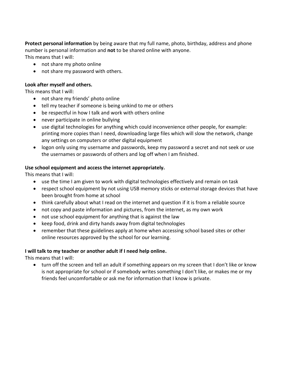**Protect personal information** by being aware that my full name, photo, birthday, address and phone number is personal information and **not** to be shared online with anyone.

This means that I will:

- not share my photo online
- not share my password with others.

### **Look after myself and others.**

This means that I will:

- not share my friends' photo online
- tell my teacher if someone is being unkind to me or others
- be respectful in how I talk and work with others online
- never participate in online bullying
- use digital technologies for anything which could inconvenience other people, for example: printing more copies than I need, downloading large files which will slow the network, change any settings on computers or other digital equipment
- logon only using my username and passwords, keep my password a secret and not seek or use the usernames or passwords of others and log off when I am finished.

# **Use school equipment and access the internet appropriately.**

This means that I will:

- use the time I am given to work with digital technologies effectively and remain on task
- respect school equipment by not using USB memory sticks or external storage devices that have been brought from home at school
- think carefully about what I read on the internet and question if it is from a reliable source
- not copy and paste information and pictures, from the internet, as my own work
- not use school equipment for anything that is against the law
- keep food, drink and dirty hands away from digital technologies
- remember that these guidelines apply at home when accessing school based sites or other online resources approved by the school for our learning.

# **I will talk to my teacher or another adult if I need help online.**

This means that I will:

• turn off the screen and tell an adult if something appears on my screen that I don't like or know is not appropriate for school or if somebody writes something I don't like, or makes me or my friends feel uncomfortable or ask me for information that I know is private.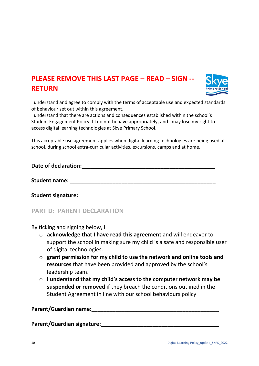# **PLEASE REMOVE THIS LAST PAGE – READ – SIGN -- RETURN**



I understand and agree to comply with the terms of acceptable use and expected standards of behaviour set out within this agreement.

I understand that there are actions and consequences established within the school's Student Engagement Policy if I do not behave appropriately, and I may lose my right to access digital learning technologies at Skye Primary School.

This acceptable use agreement applies when digital learning technologies are being used at school, during school extra-curricular activities, excursions, camps and at home.

| Date of declaration:      |  |
|---------------------------|--|
| <b>Student name:</b>      |  |
| <b>Student signature:</b> |  |

**PART D: PARENT DECLARATION**

By ticking and signing below, I

- o **acknowledge that I have read this agreement** and will endeavor to support the school in making sure my child is a safe and responsible user of digital technologies.
- o **grant permission for my child to use the network and online tools and resources** that have been provided and approved by the school's leadership team.
- o **I understand that my child's access to the computer network may be suspended or removed** if they breach the conditions outlined in the Student Agreement in line with our school behaviours policy

# Parent/Guardian name:

Parent/Guardian signature: **Maturest State of August** 2014